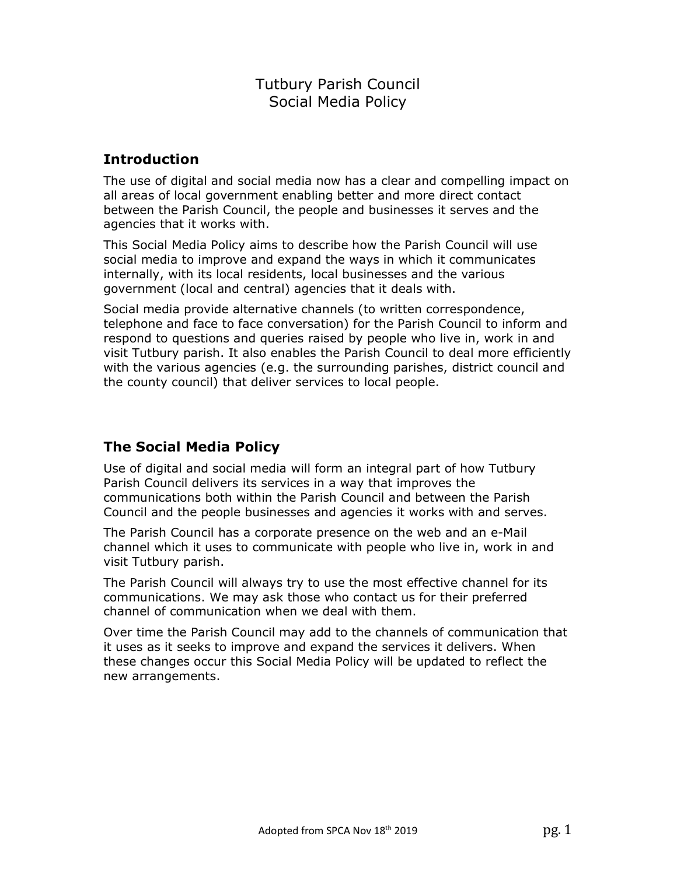# Tutbury Parish Council Social Media Policy

## Introduction

The use of digital and social media now has a clear and compelling impact on all areas of local government enabling better and more direct contact between the Parish Council, the people and businesses it serves and the agencies that it works with.

This Social Media Policy aims to describe how the Parish Council will use social media to improve and expand the ways in which it communicates internally, with its local residents, local businesses and the various government (local and central) agencies that it deals with.

Social media provide alternative channels (to written correspondence, telephone and face to face conversation) for the Parish Council to inform and respond to questions and queries raised by people who live in, work in and visit Tutbury parish. It also enables the Parish Council to deal more efficiently with the various agencies (e.g. the surrounding parishes, district council and the county council) that deliver services to local people.

# The Social Media Policy

Use of digital and social media will form an integral part of how Tutbury Parish Council delivers its services in a way that improves the communications both within the Parish Council and between the Parish Council and the people businesses and agencies it works with and serves.

The Parish Council has a corporate presence on the web and an e-Mail channel which it uses to communicate with people who live in, work in and visit Tutbury parish.

The Parish Council will always try to use the most effective channel for its communications. We may ask those who contact us for their preferred channel of communication when we deal with them.

Over time the Parish Council may add to the channels of communication that it uses as it seeks to improve and expand the services it delivers. When these changes occur this Social Media Policy will be updated to reflect the new arrangements.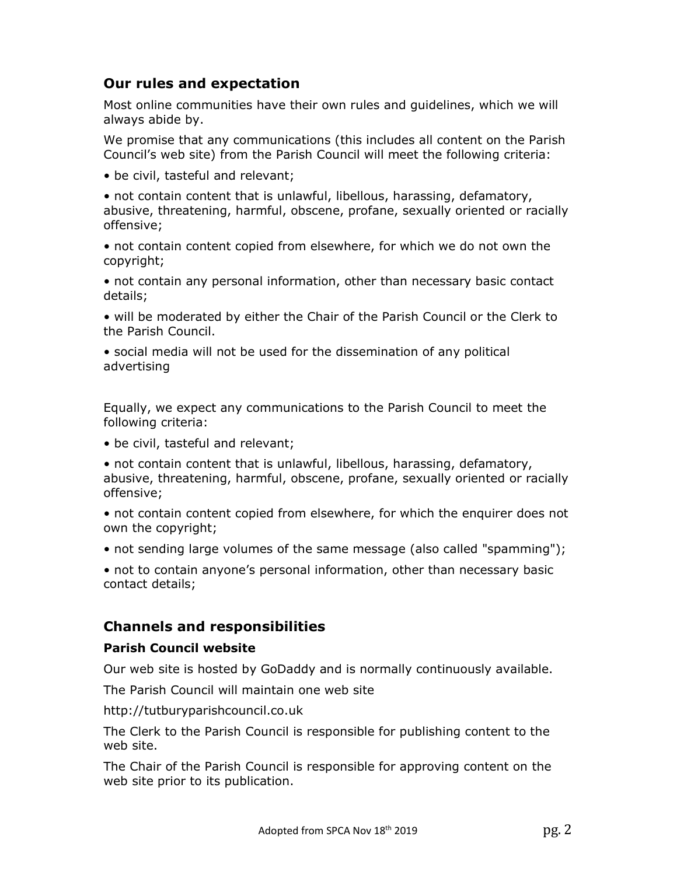## Our rules and expectation

Most online communities have their own rules and guidelines, which we will always abide by.

We promise that any communications (this includes all content on the Parish Council's web site) from the Parish Council will meet the following criteria:

• be civil, tasteful and relevant;

• not contain content that is unlawful, libellous, harassing, defamatory, abusive, threatening, harmful, obscene, profane, sexually oriented or racially offensive;

• not contain content copied from elsewhere, for which we do not own the copyright;

• not contain any personal information, other than necessary basic contact details;

• will be moderated by either the Chair of the Parish Council or the Clerk to the Parish Council.

• social media will not be used for the dissemination of any political advertising

Equally, we expect any communications to the Parish Council to meet the following criteria:

• be civil, tasteful and relevant;

• not contain content that is unlawful, libellous, harassing, defamatory, abusive, threatening, harmful, obscene, profane, sexually oriented or racially offensive;

• not contain content copied from elsewhere, for which the enquirer does not own the copyright;

• not sending large volumes of the same message (also called "spamming");

• not to contain anyone's personal information, other than necessary basic contact details;

### Channels and responsibilities

#### Parish Council website

Our web site is hosted by GoDaddy and is normally continuously available.

The Parish Council will maintain one web site

http://tutburyparishcouncil.co.uk

The Clerk to the Parish Council is responsible for publishing content to the web site.

The Chair of the Parish Council is responsible for approving content on the web site prior to its publication.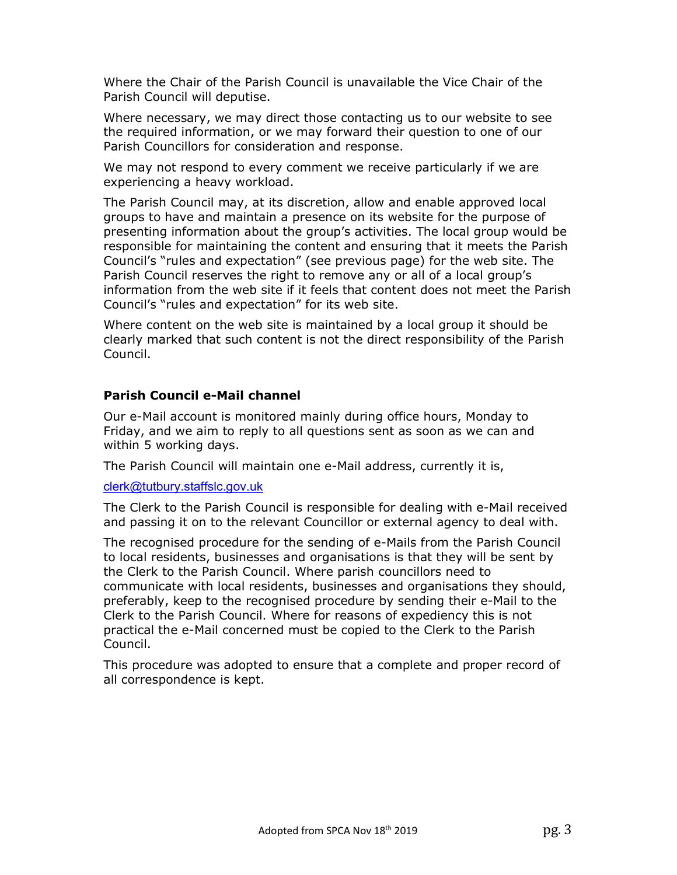Where the Chair of the Parish Council is unavailable the Vice Chair of the Parish Council will deputise.

Where necessary, we may direct those contacting us to our website to see the required information, or we may forward their question to one of our Parish Councillors for consideration and response.

We may not respond to every comment we receive particularly if we are experiencing a heavy workload.

The Parish Council may, at its discretion, allow and enable approved local groups to have and maintain a presence on its website for the purpose of presenting information about the group's activities. The local group would be responsible for maintaining the content and ensuring that it meets the Parish Council's "rules and expectation" (see previous page) for the web site. The Parish Council reserves the right to remove any or all of a local group's information from the web site if it feels that content does not meet the Parish Council's "rules and expectation" for its web site.

Where content on the web site is maintained by a local group it should be clearly marked that such content is not the direct responsibility of the Parish Council.

#### Parish Council e-Mail channel

Our e-Mail account is monitored mainly during office hours, Monday to Friday, and we aim to reply to all questions sent as soon as we can and within 5 working days.

The Parish Council will maintain one e-Mail address, currently it is,

clerk@tutbury.staffslc.gov.uk

The Clerk to the Parish Council is responsible for dealing with e-Mail received and passing it on to the relevant Councillor or external agency to deal with.

The recognised procedure for the sending of e-Mails from the Parish Council to local residents, businesses and organisations is that they will be sent by the Clerk to the Parish Council. Where parish councillors need to communicate with local residents, businesses and organisations they should, preferably, keep to the recognised procedure by sending their e-Mail to the Clerk to the Parish Council. Where for reasons of expediency this is not practical the e-Mail concerned must be copied to the Clerk to the Parish Council.

This procedure was adopted to ensure that a complete and proper record of all correspondence is kept.